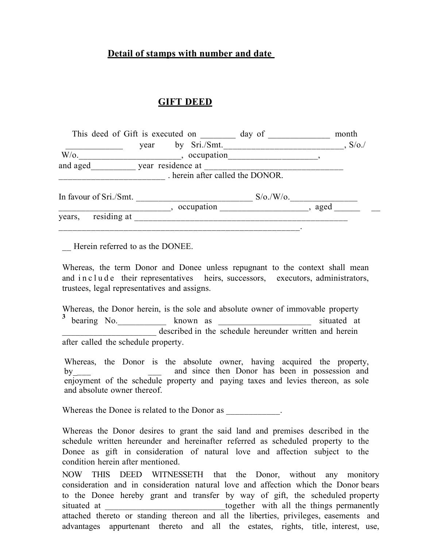## **Detail of stamps with number and date**

## **GIFT DEED**

| This deed of Gift is executed on |                   |                                | day of                     | month           |
|----------------------------------|-------------------|--------------------------------|----------------------------|-----------------|
|                                  | year              | by Sri./Smt.                   |                            | $\frac{S}{Q}$ . |
| $W$ /0.                          |                   | , occupation                   |                            |                 |
| and aged                         | year residence at |                                |                            |                 |
|                                  |                   | herein after called the DONOR. |                            |                 |
| In favour of Sri./Smt.           |                   |                                | $S/\sigma$ ./W/ $\sigma$ . |                 |
|                                  |                   | occupation                     |                            | aged            |
| residing at<br>years,            |                   |                                |                            |                 |

Herein referred to as the DONEE.

Whereas, the term Donor and Donee unless repugnant to the context shall mean and in c l u d e their representatives heirs, successors, executors, administrators, trustees, legal representatives and assigns.

Whereas, the Donor herein, is the sole and absolute owner of immovable property <sup>3</sup> bearing No. \_\_\_\_\_\_\_\_\_\_ known as \_\_\_\_\_\_\_\_\_\_\_\_\_\_\_\_\_\_\_\_\_ situated at described in the schedule hereunder written and herein after called the schedule property.

Whereas, the Donor is the absolute owner, having acquired the property, by\_\_\_\_ \_\_\_ and since then Donor has been in possession and enjoyment of the schedule property and paying taxes and levies thereon, as sole and absolute owner thereof.

Whereas the Donee is related to the Donor as  $\blacksquare$ 

Whereas the Donor desires to grant the said land and premises described in the schedule written hereunder and hereinafter referred as scheduled property to the Donee as gift in consideration of natural love and affection subject to the condition herein after mentioned.

NOW THIS DEED WITNESSETH that the Donor, without any monitory consideration and in consideration natural love and affection which the Donor bears to the Donee hereby grant and transfer by way of gift, the scheduled property situated at the things permanently together with all the things permanently attached thereto or standing thereon and all the liberties, privileges, easements and advantages appurtenant thereto and all the estates, rights, title, interest, use,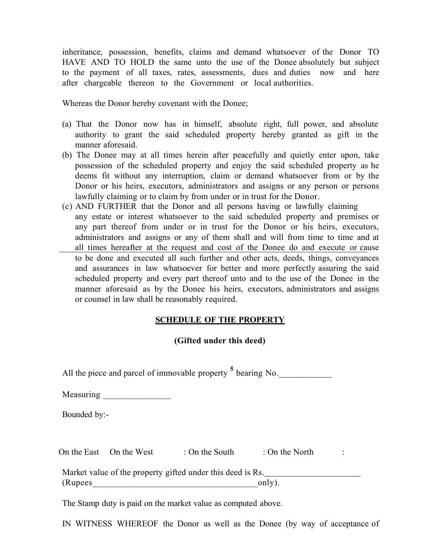inheritance, possession, benefits, claims and demand whatsoever of the Donor TO HAVE AND TO HOLD the same unto the use of the Donee absolutely but subject to the payment of all taxes, rates, assessments, dues and duties now and here after chargeable thereon to the Government or local authorities.

Whereas the Donor hereby covenant with the Donee;

- (a) That the Donor now has in himself, absolute right, full power, and absolute authority to grant the said scheduled property hereby granted as gift in the manner aforesaid.
- (b) The Donee may at all times herein after peacefully and quietly enter upon, take possession of the scheduled property and enjoy the said scheduled property as he deems fit without any interruption, claim or demand whatsoever from or by the Donor or his heirs, executors, administrators and assigns or any person or persons lawfully claiming or to claim by from under or in trust for the Donor.
- (c) AND FURTHER that the Donor and all persons having or lawfully claiming any estate or interest whatsoever to the said scheduled property and premises or any part thereof from under or in trust for the Donor or his heirs, executors, administrators and assigns or any of them shall and will from time to time and at all times hereafter at the request and cost of the Donee do and execute or cause to be done and executed all such further and other acts, deeds, things, conveyances and assurances in law whatsoever for better and more perfectly assuring the said scheduled property and every part thereof unto and to the use of the Donee in the manner aforesaid as by the Donee his heirs, executors, administrators and assigns or counsel in law shall be reasonably required.

## **SCHEDULE OF THE PROPERTY**

## **(Gifted under this deed)**

All the piece and parcel of immovable property <sup>5</sup> bearing No. Measuring \_\_\_\_\_\_\_\_\_\_\_\_\_\_\_ Bounded by:- On the East On the West : On the South : On the North : Market value of the property gifted under this deed is Rs.  $(Rupees$  only).

The Stamp duty is paid on the market value as computed above.

IN WITNESS WHEREOF the Donor as well as the Donee (by way of acceptance of